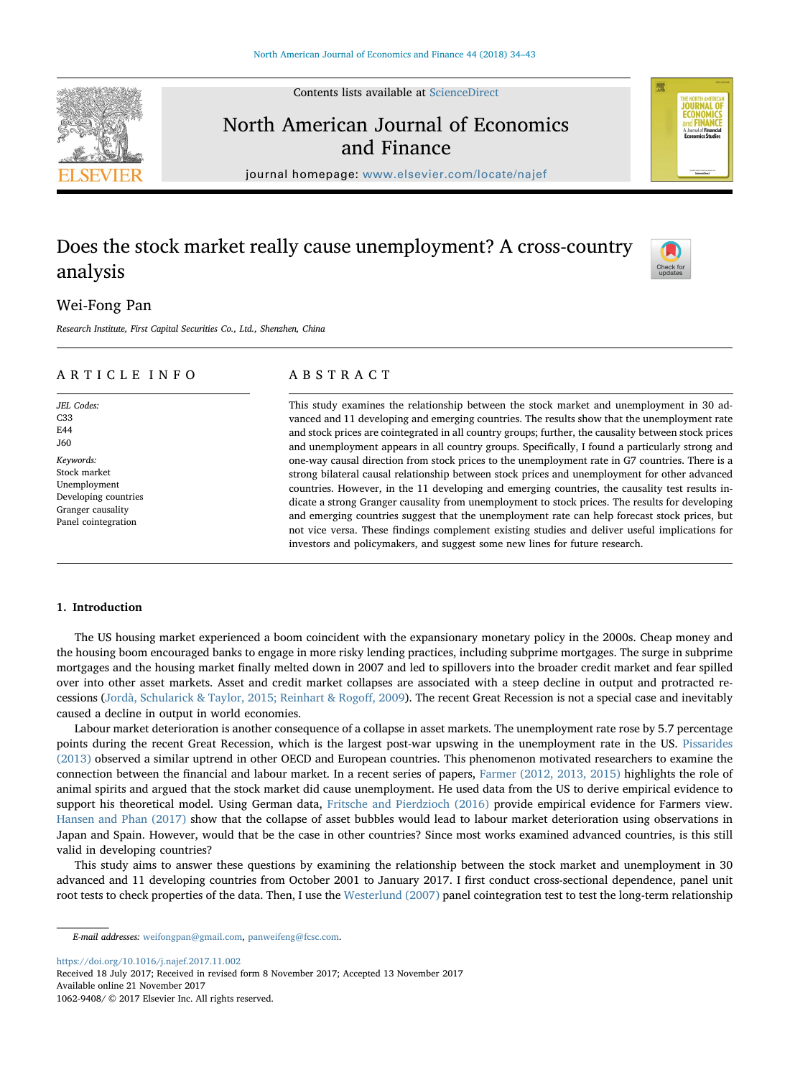Contents lists available at [ScienceDirect](http://www.sciencedirect.com/science/journal/10629408)

## North American Journal of Economics and Finance

journal homepage: [www.elsevier.com/locate/najef](https://www.elsevier.com/locate/najef)

### Does the stock market really cause unemployment? A cross-country analysis

### Wei-Fong Pan

Research Institute, First Capital Securities Co., Ltd., Shenzhen, China

#### ARTICLE INFO

JEL Codes:  $C33$ E44 J60 Keywords: Stock market Unemployment Developing countries Granger causality Panel cointegration

#### ABSTRACT

This study examines the relationship between the stock market and unemployment in 30 advanced and 11 developing and emerging countries. The results show that the unemployment rate and stock prices are cointegrated in all country groups; further, the causality between stock prices and unemployment appears in all country groups. Specifically, I found a particularly strong and one-way causal direction from stock prices to the unemployment rate in G7 countries. There is a strong bilateral causal relationship between stock prices and unemployment for other advanced countries. However, in the 11 developing and emerging countries, the causality test results indicate a strong Granger causality from unemployment to stock prices. The results for developing and emerging countries suggest that the unemployment rate can help forecast stock prices, but not vice versa. These findings complement existing studies and deliver useful implications for investors and policymakers, and suggest some new lines for future research.

#### 1. Introduction

The US housing market experienced a boom coincident with the expansionary monetary policy in the 2000s. Cheap money and the housing boom encouraged banks to engage in more risky lending practices, including subprime mortgages. The surge in subprime mortgages and the housing market finally melted down in 2007 and led to spillovers into the broader credit market and fear spilled over into other asset markets. Asset and credit market collapses are associated with a steep decline in output and protracted recessions (Jordà, Schularick & Taylor, 2015; Reinhart & Rogoff, 2009). The recent Great Recession is not a special case and inevitably caused a decline in output in world economies.

Labour market deterioration is another consequence of a collapse in asset markets. The unemployment rate rose by 5.7 percentage points during the recent Great Recession, which is the largest post-war upswing in the unemployment rate in the US. Pissarides (2013) observed a similar uptrend in other OECD and European countries. This phenomenon motivated researchers to examine the connection between the financial and labour market. In a recent series of papers, Farmer (2012, 2013, 2015) highlights the role of animal spirits and argued that the stock market did cause unemployment. He used data from the US to derive empirical evidence to support his theoretical model. Using German data, Fritsche and Pierdzioch (2016) provide empirical evidence for Farmers view. Hansen and Phan (2017) show that the collapse of asset bubbles would lead to labour market deterioration using observations in Japan and Spain. However, would that be the case in other countries? Since most works examined advanced countries, is this still valid in developing countries?

This study aims to answer these questions by examining the relationship between the stock market and unemployment in 30 advanced and 11 developing countries from October 2001 to January 2017. I first conduct cross-sectional dependence, panel unit root tests to check properties of the data. Then, I use the Westerlund (2007) panel cointegration test to test the long-term relationship

<https://doi.org/10.1016/j.najef.2017.11.002>

Received 18 July 2017; Received in revised form 8 November 2017; Accepted 13 November 2017 Available online 21 November 2017







E-mail addresses: [weifongpan@gmail.com](mailto:weifongpan@gmail.com), [panweifeng@fcsc.com.](mailto:panweifeng@fcsc.com)

<sup>1062-9408/ © 2017</sup> Elsevier Inc. All rights reserved.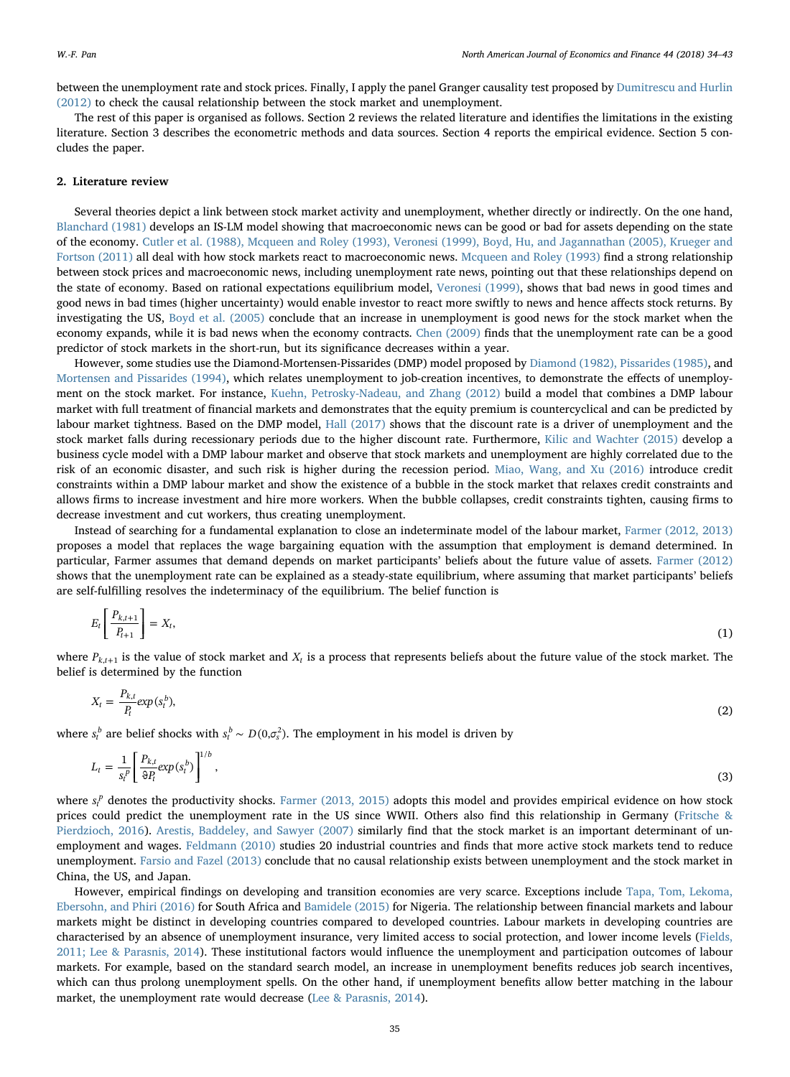between the unemployment rate and stock prices. Finally, I apply the panel Granger causality test proposed by Dumitrescu and Hurlin (2012) to check the causal relationship between the stock market and unemployment.

The rest of this paper is organised as follows. Section 2 reviews the related literature and identifies the limitations in the existing literature. Section 3 describes the econometric methods and data sources. Section 4 reports the empirical evidence. Section 5 concludes the paper.

#### 2. Literature review

Several theories depict a link between stock market activity and unemployment, whether directly or indirectly. On the one hand, Blanchard (1981) develops an IS-LM model showing that macroeconomic news can be good or bad for assets depending on the state of the economy. Cutler et al. (1988), Mcqueen and Roley (1993), Veronesi (1999), Boyd, Hu, and Jagannathan (2005), Krueger and Fortson (2011) all deal with how stock markets react to macroeconomic news. Mcqueen and Roley (1993) find a strong relationship between stock prices and macroeconomic news, including unemployment rate news, pointing out that these relationships depend on the state of economy. Based on rational expectations equilibrium model, Veronesi (1999), shows that bad news in good times and good news in bad times (higher uncertainty) would enable investor to react more swiftly to news and hence affects stock returns. By investigating the US, Boyd et al. (2005) conclude that an increase in unemployment is good news for the stock market when the economy expands, while it is bad news when the economy contracts. Chen (2009) finds that the unemployment rate can be a good predictor of stock markets in the short-run, but its significance decreases within a year.

However, some studies use the Diamond-Mortensen-Pissarides (DMP) model proposed by Diamond (1982), Pissarides (1985), and Mortensen and Pissarides (1994), which relates unemployment to job-creation incentives, to demonstrate the effects of unemployment on the stock market. For instance, Kuehn, Petrosky-Nadeau, and Zhang (2012) build a model that combines a DMP labour market with full treatment of financial markets and demonstrates that the equity premium is countercyclical and can be predicted by labour market tightness. Based on the DMP model, Hall (2017) shows that the discount rate is a driver of unemployment and the stock market falls during recessionary periods due to the higher discount rate. Furthermore, Kilic and Wachter (2015) develop a business cycle model with a DMP labour market and observe that stock markets and unemployment are highly correlated due to the risk of an economic disaster, and such risk is higher during the recession period. Miao, Wang, and Xu (2016) introduce credit constraints within a DMP labour market and show the existence of a bubble in the stock market that relaxes credit constraints and allows firms to increase investment and hire more workers. When the bubble collapses, credit constraints tighten, causing firms to decrease investment and cut workers, thus creating unemployment.

Instead of searching for a fundamental explanation to close an indeterminate model of the labour market, Farmer (2012, 2013) proposes a model that replaces the wage bargaining equation with the assumption that employment is demand determined. In particular, Farmer assumes that demand depends on market participants' beliefs about the future value of assets. Farmer (2012) shows that the unemployment rate can be explained as a steady-state equilibrium, where assuming that market participants' beliefs are self-fulfilling resolves the indeterminacy of the equilibrium. The belief function is

$$
E_t\left[\frac{P_{k,t+1}}{P_{t+1}}\right] = X_t,\tag{1}
$$

where  $P_{k,t+1}$  is the value of stock market and  $X_t$  is a process that represents beliefs about the future value of the stock market. The belief is determined by the function

$$
X_t = \frac{P_{k,t}}{P_t} \exp(s_t^b),\tag{2}
$$

where  $s_t^b$  are belief shocks with  $s_t^b \sim D(0, \sigma_s^2)$ . The employment in his model is driven by

$$
L_t = \frac{1}{s_t^p} \left[ \frac{P_{k,t}}{\vartheta P_t} \exp(s_t^b) \right]^{1/b},\tag{3}
$$

where  $s_t^p$  denotes the productivity shocks. Farmer (2013, 2015) adopts this model and provides empirical evidence on how stock prices could predict the unemployment rate in the US since WWII. Others also find this relationship in Germany (Fritsche & Pierdzioch, 2016). Arestis, Baddeley, and Sawyer (2007) similarly find that the stock market is an important determinant of unemployment and wages. Feldmann (2010) studies 20 industrial countries and finds that more active stock markets tend to reduce unemployment. Farsio and Fazel (2013) conclude that no causal relationship exists between unemployment and the stock market in China, the US, and Japan.

However, empirical findings on developing and transition economies are very scarce. Exceptions include Tapa, Tom, Lekoma, Ebersohn, and Phiri (2016) for South Africa and Bamidele (2015) for Nigeria. The relationship between financial markets and labour markets might be distinct in developing countries compared to developed countries. Labour markets in developing countries are characterised by an absence of unemployment insurance, very limited access to social protection, and lower income levels (Fields, 2011; Lee & Parasnis, 2014). These institutional factors would influence the unemployment and participation outcomes of labour markets. For example, based on the standard search model, an increase in unemployment benefits reduces job search incentives, which can thus prolong unemployment spells. On the other hand, if unemployment benefits allow better matching in the labour market, the unemployment rate would decrease (Lee & Parasnis, 2014).